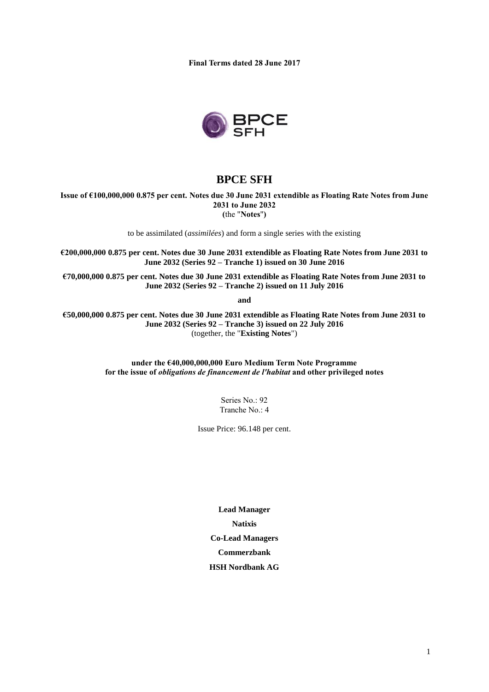**Final Terms dated 28 June 2017**



# **BPCE SFH**

**Issue of €100,000,000 0.875 per cent. Notes due 30 June 2031 extendible as Floating Rate Notes from June 2031 to June 2032 (**the "**Notes**"**)**

to be assimilated (*assimilées*) and form a single series with the existing

**€200,000,000 0.875 per cent. Notes due 30 June 2031 extendible as Floating Rate Notes from June 2031 to June 2032 (Series 92 – Tranche 1) issued on 30 June 2016**

**€70,000,000 0.875 per cent. Notes due 30 June 2031 extendible as Floating Rate Notes from June 2031 to June 2032 (Series 92 – Tranche 2) issued on 11 July 2016**

**and** 

**€50,000,000 0.875 per cent. Notes due 30 June 2031 extendible as Floating Rate Notes from June 2031 to June 2032 (Series 92 – Tranche 3) issued on 22 July 2016** (together, the "**Existing Notes**")

> **under the €40,000,000,000 Euro Medium Term Note Programme for the issue of** *obligations de financement de l'habitat* **and other privileged notes**

> > Series No.: 92 Tranche No.: 4

Issue Price: 96.148 per cent.

**Lead Manager Natixis Co-Lead Managers Commerzbank HSH Nordbank AG**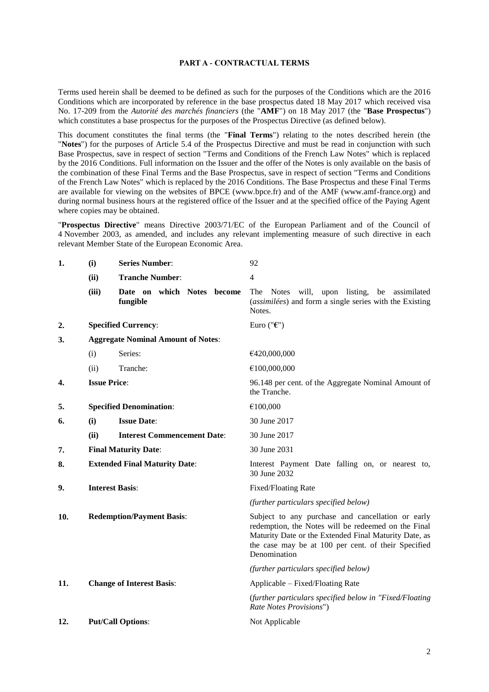### **PART A - CONTRACTUAL TERMS**

Terms used herein shall be deemed to be defined as such for the purposes of the Conditions which are the 2016 Conditions which are incorporated by reference in the base prospectus dated 18 May 2017 which received visa No. 17-209 from the *Autorité des marchés financiers* (the "**AMF**") on 18 May 2017 (the "**Base Prospectus**") which constitutes a base prospectus for the purposes of the Prospectus Directive (as defined below).

This document constitutes the final terms (the "**Final Terms**") relating to the notes described herein (the "**Notes**") for the purposes of Article 5.4 of the Prospectus Directive and must be read in conjunction with such Base Prospectus, save in respect of section "Terms and Conditions of the French Law Notes" which is replaced by the 2016 Conditions. Full information on the Issuer and the offer of the Notes is only available on the basis of the combination of these Final Terms and the Base Prospectus, save in respect of section "Terms and Conditions of the French Law Notes" which is replaced by the 2016 Conditions. The Base Prospectus and these Final Terms are available for viewing on the websites of BPCE (www.bpce.fr) and of the AMF (www.amf-france.org) and during normal business hours at the registered office of the Issuer and at the specified office of the Paying Agent where copies may be obtained.

"**Prospectus Directive**" means Directive 2003/71/EC of the European Parliament and of the Council of 4 November 2003, as amended, and includes any relevant implementing measure of such directive in each relevant Member State of the European Economic Area.

| 1.               | (i)                              | <b>Series Number:</b>                     | 92                                                                                                                                                                                                                                       |
|------------------|----------------------------------|-------------------------------------------|------------------------------------------------------------------------------------------------------------------------------------------------------------------------------------------------------------------------------------------|
|                  | (ii)                             | <b>Tranche Number:</b>                    | 4                                                                                                                                                                                                                                        |
|                  | (iii)                            | Date on which Notes become<br>fungible    | The Notes will, upon listing,<br>be assimilated<br>(assimilées) and form a single series with the Existing<br>Notes.                                                                                                                     |
| $\overline{2}$ . |                                  | <b>Specified Currency:</b>                | Euro (" $\epsilon$ ")                                                                                                                                                                                                                    |
| 3.               |                                  | <b>Aggregate Nominal Amount of Notes:</b> |                                                                                                                                                                                                                                          |
|                  | (i)                              | Series:                                   | €420,000,000                                                                                                                                                                                                                             |
|                  | (ii)                             | Tranche:                                  | €100,000,000                                                                                                                                                                                                                             |
| 4.               | <b>Issue Price:</b>              |                                           | 96.148 per cent. of the Aggregate Nominal Amount of<br>the Tranche.                                                                                                                                                                      |
| 5.               |                                  | <b>Specified Denomination:</b>            | $\mathcal{C}100,\!000$                                                                                                                                                                                                                   |
| 6.               | (i)                              | <b>Issue Date:</b>                        | 30 June 2017                                                                                                                                                                                                                             |
|                  | (ii)                             | <b>Interest Commencement Date:</b>        | 30 June 2017                                                                                                                                                                                                                             |
| 7.               |                                  | <b>Final Maturity Date:</b>               | 30 June 2031                                                                                                                                                                                                                             |
| 8.               |                                  | <b>Extended Final Maturity Date:</b>      | Interest Payment Date falling on, or nearest to,<br>30 June 2032                                                                                                                                                                         |
| 9.               |                                  | <b>Interest Basis:</b>                    | Fixed/Floating Rate                                                                                                                                                                                                                      |
|                  |                                  |                                           | (further particulars specified below)                                                                                                                                                                                                    |
| 10.              | <b>Redemption/Payment Basis:</b> |                                           | Subject to any purchase and cancellation or early<br>redemption, the Notes will be redeemed on the Final<br>Maturity Date or the Extended Final Maturity Date, as<br>the case may be at 100 per cent. of their Specified<br>Denomination |
|                  |                                  |                                           | (further particulars specified below)                                                                                                                                                                                                    |
| 11.              |                                  | <b>Change of Interest Basis:</b>          | Applicable – Fixed/Floating Rate                                                                                                                                                                                                         |
|                  |                                  |                                           | (further particulars specified below in "Fixed/Floating<br>Rate Notes Provisions")                                                                                                                                                       |
| 12.              |                                  | <b>Put/Call Options:</b>                  | Not Applicable                                                                                                                                                                                                                           |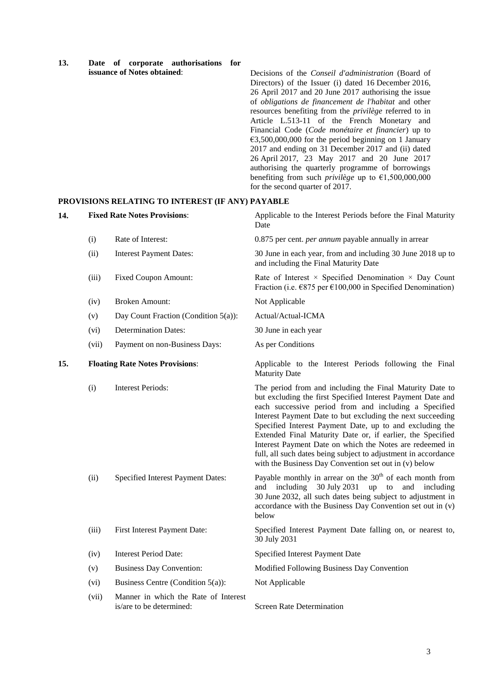| 13. |                             |  |  | Date of corporate authorisations for |  |
|-----|-----------------------------|--|--|--------------------------------------|--|
|     | issuance of Notes obtained: |  |  |                                      |  |

Decisions of the *Conseil d'administration* (Board of Directors) of the Issuer (i) dated 16 December 2016, 26 April 2017 and 20 June 2017 authorising the issue of *obligations de financement de l'habitat* and other resources benefiting from the *privilège* referred to in Article L.513-11 of the French Monetary and Financial Code (*Code monétaire et financier*) up to €3,500,000,000 for the period beginning on 1 January 2017 and ending on 31 December 2017 and (ii) dated 26 April 2017, 23 May 2017 and 20 June 2017 authorising the quarterly programme of borrowings benefiting from such *privilège* up to  $\epsilon$ 1,500,000,000 for the second quarter of 2017.

### **PROVISIONS RELATING TO INTEREST (IF ANY) PAYABLE**

| 14. | <b>Fixed Rate Notes Provisions:</b>    |                                                                  | Applicable to the Interest Periods before the Final Maturity<br>Date                                                                                                                                                                                                                                                                                                                                                                                                                                                                                            |
|-----|----------------------------------------|------------------------------------------------------------------|-----------------------------------------------------------------------------------------------------------------------------------------------------------------------------------------------------------------------------------------------------------------------------------------------------------------------------------------------------------------------------------------------------------------------------------------------------------------------------------------------------------------------------------------------------------------|
|     | (i)                                    | Rate of Interest:                                                | 0.875 per cent. <i>per annum</i> payable annually in arrear                                                                                                                                                                                                                                                                                                                                                                                                                                                                                                     |
|     | (ii)                                   | <b>Interest Payment Dates:</b>                                   | 30 June in each year, from and including 30 June 2018 up to<br>and including the Final Maturity Date                                                                                                                                                                                                                                                                                                                                                                                                                                                            |
|     | (iii)                                  | <b>Fixed Coupon Amount:</b>                                      | Rate of Interest $\times$ Specified Denomination $\times$ Day Count<br>Fraction (i.e. $\epsilon$ 875 per $\epsilon$ 100,000 in Specified Denomination)                                                                                                                                                                                                                                                                                                                                                                                                          |
|     | (iv)                                   | <b>Broken Amount:</b>                                            | Not Applicable                                                                                                                                                                                                                                                                                                                                                                                                                                                                                                                                                  |
|     | (v)                                    | Day Count Fraction (Condition 5(a)):                             | Actual/Actual-ICMA                                                                                                                                                                                                                                                                                                                                                                                                                                                                                                                                              |
|     | (vi)                                   | <b>Determination Dates:</b>                                      | 30 June in each year                                                                                                                                                                                                                                                                                                                                                                                                                                                                                                                                            |
|     | (vii)                                  | Payment on non-Business Days:                                    | As per Conditions                                                                                                                                                                                                                                                                                                                                                                                                                                                                                                                                               |
| 15. | <b>Floating Rate Notes Provisions:</b> |                                                                  | Applicable to the Interest Periods following the Final<br><b>Maturity Date</b>                                                                                                                                                                                                                                                                                                                                                                                                                                                                                  |
|     | (i)                                    | <b>Interest Periods:</b>                                         | The period from and including the Final Maturity Date to<br>but excluding the first Specified Interest Payment Date and<br>each successive period from and including a Specified<br>Interest Payment Date to but excluding the next succeeding<br>Specified Interest Payment Date, up to and excluding the<br>Extended Final Maturity Date or, if earlier, the Specified<br>Interest Payment Date on which the Notes are redeemed in<br>full, all such dates being subject to adjustment in accordance<br>with the Business Day Convention set out in (v) below |
|     | (ii)                                   | Specified Interest Payment Dates:                                | Payable monthly in arrear on the $30th$ of each month from<br>30 July 2031<br>up<br>and including<br>to<br>and<br>including<br>30 June 2032, all such dates being subject to adjustment in<br>accordance with the Business Day Convention set out in (v)<br>below                                                                                                                                                                                                                                                                                               |
|     | (iii)                                  | First Interest Payment Date:                                     | Specified Interest Payment Date falling on, or nearest to,<br>30 July 2031                                                                                                                                                                                                                                                                                                                                                                                                                                                                                      |
|     | (iv)                                   | <b>Interest Period Date:</b>                                     | Specified Interest Payment Date                                                                                                                                                                                                                                                                                                                                                                                                                                                                                                                                 |
|     | (v)                                    | <b>Business Day Convention:</b>                                  | Modified Following Business Day Convention                                                                                                                                                                                                                                                                                                                                                                                                                                                                                                                      |
|     | (vi)                                   | Business Centre (Condition $5(a)$ ):                             | Not Applicable                                                                                                                                                                                                                                                                                                                                                                                                                                                                                                                                                  |
|     | (vii)                                  | Manner in which the Rate of Interest<br>is/are to be determined: | <b>Screen Rate Determination</b>                                                                                                                                                                                                                                                                                                                                                                                                                                                                                                                                |

3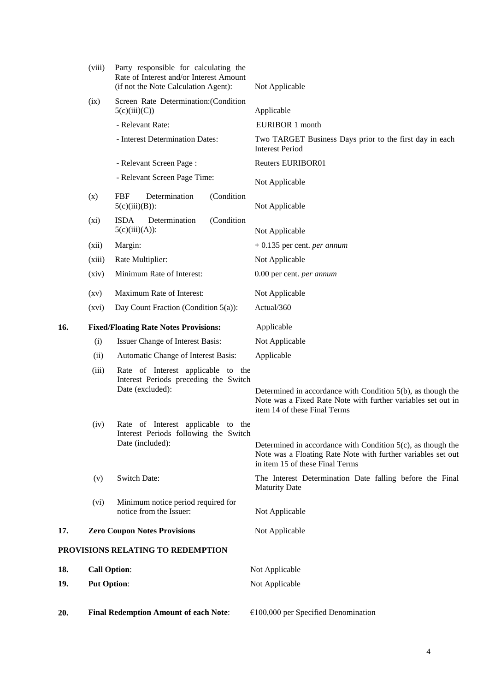|                                   | (viii)              | Party responsible for calculating the<br>Rate of Interest and/or Interest Amount<br>(if not the Note Calculation Agent): | Not Applicable                                                                                                                                                    |  |
|-----------------------------------|---------------------|--------------------------------------------------------------------------------------------------------------------------|-------------------------------------------------------------------------------------------------------------------------------------------------------------------|--|
|                                   | (ix)                | Screen Rate Determination: (Condition<br>5(c)(iii)(C))                                                                   | Applicable                                                                                                                                                        |  |
|                                   |                     | - Relevant Rate:                                                                                                         | EURIBOR 1 month                                                                                                                                                   |  |
|                                   |                     | - Interest Determination Dates:                                                                                          | Two TARGET Business Days prior to the first day in each<br><b>Interest Period</b>                                                                                 |  |
|                                   |                     | - Relevant Screen Page:                                                                                                  | Reuters EURIBOR01                                                                                                                                                 |  |
|                                   |                     | - Relevant Screen Page Time:                                                                                             | Not Applicable                                                                                                                                                    |  |
|                                   | (x)                 | <b>FBF</b><br>Determination<br>(Condition<br>$5(c)(iii)(B))$ :                                                           | Not Applicable                                                                                                                                                    |  |
|                                   | $(x_i)$             | <b>ISDA</b><br>Determination<br>(Condition<br>$5(c)(iii)(A))$ :                                                          | Not Applicable                                                                                                                                                    |  |
|                                   | (xii)               | Margin:                                                                                                                  | $+0.135$ per cent. <i>per annum</i>                                                                                                                               |  |
|                                   | (xiii)              | Rate Multiplier:                                                                                                         | Not Applicable                                                                                                                                                    |  |
|                                   | (xiv)               | Minimum Rate of Interest:                                                                                                | 0.00 per cent. per annum                                                                                                                                          |  |
|                                   | $\left( xy\right)$  | Maximum Rate of Interest:                                                                                                | Not Applicable                                                                                                                                                    |  |
|                                   | (xvi)               | Day Count Fraction (Condition 5(a)):                                                                                     | Actual/360                                                                                                                                                        |  |
| 16.                               |                     | <b>Fixed/Floating Rate Notes Provisions:</b>                                                                             | Applicable                                                                                                                                                        |  |
|                                   | (i)                 | Issuer Change of Interest Basis:                                                                                         | Not Applicable                                                                                                                                                    |  |
|                                   | (ii)                | Automatic Change of Interest Basis:                                                                                      | Applicable                                                                                                                                                        |  |
|                                   | (iii)               | Rate of Interest applicable to the<br>Interest Periods preceding the Switch<br>Date (excluded):                          | Determined in accordance with Condition $5(b)$ , as though the<br>Note was a Fixed Rate Note with further variables set out in<br>item 14 of these Final Terms    |  |
|                                   | (iv)                | Rate of Interest applicable to the                                                                                       |                                                                                                                                                                   |  |
|                                   |                     | Interest Periods following the Switch<br>Date (included):                                                                | Determined in accordance with Condition $5(c)$ , as though the<br>Note was a Floating Rate Note with further variables set out<br>in item 15 of these Final Terms |  |
|                                   | (v)                 | <b>Switch Date:</b>                                                                                                      | The Interest Determination Date falling before the Final<br><b>Maturity Date</b>                                                                                  |  |
|                                   | (vi)                | Minimum notice period required for                                                                                       |                                                                                                                                                                   |  |
|                                   |                     | notice from the Issuer:                                                                                                  | Not Applicable                                                                                                                                                    |  |
| 17.                               |                     | <b>Zero Coupon Notes Provisions</b>                                                                                      | Not Applicable                                                                                                                                                    |  |
| PROVISIONS RELATING TO REDEMPTION |                     |                                                                                                                          |                                                                                                                                                                   |  |
| 18.                               | <b>Call Option:</b> |                                                                                                                          | Not Applicable                                                                                                                                                    |  |
| 19.                               | <b>Put Option:</b>  |                                                                                                                          | Not Applicable                                                                                                                                                    |  |
| 20.                               |                     | <b>Final Redemption Amount of each Note:</b>                                                                             | $€100,000$ per Specified Denomination                                                                                                                             |  |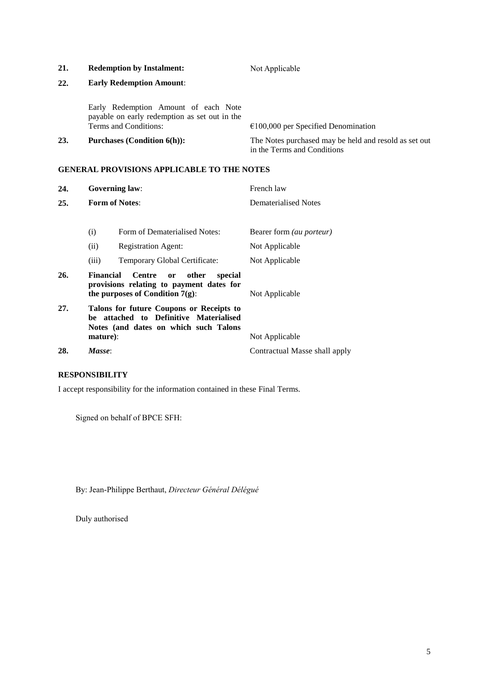## 21. **Redemption by Instalment:** Not Applicable

# **22. Early Redemption Amount**:

Early Redemption Amount of each Note payable on early redemption as set out in the

 $€100,000$  per Specified Denomination

23. **Purchases (Condition 6(h)):** The Notes purchased may be held and resold as set out in the Terms and Conditions

### **GENERAL PROVISIONS APPLICABLE TO THE NOTES**

| 24. |                  | <b>Governing law:</b>                                                                                                       | French law                    |  |
|-----|------------------|-----------------------------------------------------------------------------------------------------------------------------|-------------------------------|--|
| 25. |                  | <b>Form of Notes:</b>                                                                                                       | Dematerialised Notes          |  |
|     | (i)              | Form of Dematerialised Notes:                                                                                               | Bearer form (au porteur)      |  |
|     | (ii)             | <b>Registration Agent:</b>                                                                                                  | Not Applicable                |  |
|     | (iii)            | Temporary Global Certificate:                                                                                               | Not Applicable                |  |
| 26. | <b>Financial</b> | Centre<br>other<br>special<br>or<br>provisions relating to payment dates for<br>the purposes of Condition $7(g)$ :          | Not Applicable                |  |
| 27. |                  | Talons for future Coupons or Receipts to<br>be attached to Definitive Materialised<br>Notes (and dates on which such Talons |                               |  |
|     | mature):         |                                                                                                                             | Not Applicable                |  |
| 28. | Masse:           |                                                                                                                             | Contractual Masse shall apply |  |

### **RESPONSIBILITY**

I accept responsibility for the information contained in these Final Terms.

Signed on behalf of BPCE SFH:

By: Jean-Philippe Berthaut, *Directeur Général Délégué*

Duly authorised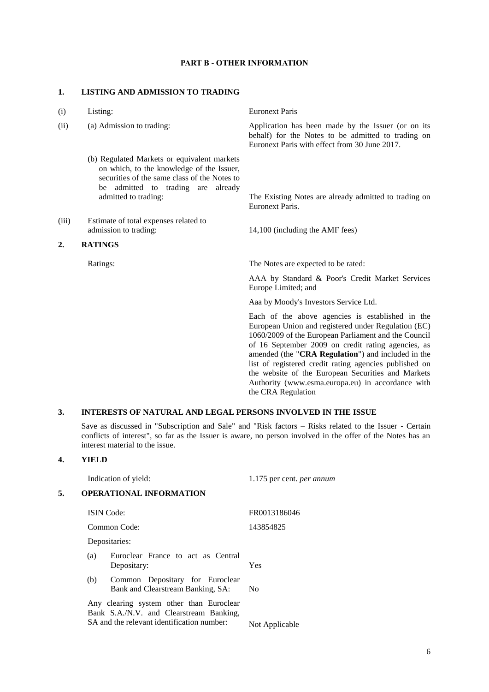### **PART B - OTHER INFORMATION**

#### **1. LISTING AND ADMISSION TO TRADING**

| Listing: |
|----------|
|          |

- (b) Regulated Markets or equivalent markets on which, to the knowledge of the Issuer, securities of the same class of the Notes to be admitted to trading are already
- (iii) Estimate of total expenses related to admission to trading: 14,100 (including the AMF fees)

### **2. RATINGS**

**Euronext Paris** 

(ii) (a) Admission to trading: Application has been made by the Issuer (or on its behalf) for the Notes to be admitted to trading on Euronext Paris with effect from 30 June 2017.

> admitted to trading: The Existing Notes are already admitted to trading on Euronext Paris.

Ratings: The Notes are expected to be rated:

AAA by Standard & Poor's Credit Market Services Europe Limited; and

Aaa by Moody's Investors Service Ltd.

Each of the above agencies is established in the European Union and registered under Regulation (EC) 1060/2009 of the European Parliament and the Council of 16 September 2009 on credit rating agencies, as amended (the "**CRA Regulation**") and included in the list of registered credit rating agencies published on the website of the European Securities and Markets Authority [\(www.esma.europa.eu\)](http://www.esma.europa.eu/) in accordance with the CRA Regulation

### **3. INTERESTS OF NATURAL AND LEGAL PERSONS INVOLVED IN THE ISSUE**

Save as discussed in "Subscription and Sale" and "Risk factors – Risks related to the Issuer - Certain conflicts of interest", so far as the Issuer is aware, no person involved in the offer of the Notes has an interest material to the issue.

### **4. YIELD**

Indication of yield: 1.175 per cent. *per annum* **5. OPERATIONAL INFORMATION** ISIN Code: FR0013186046 Common Code: 143854825 Depositaries: (a) Euroclear France to act as Central Depositary: Yes (b) Common Depositary for Euroclear Bank and Clearstream Banking, SA: No Any clearing system other than Euroclear Bank S.A./N.V. and Clearstream Banking, SA and the relevant identification number: Not Applicable